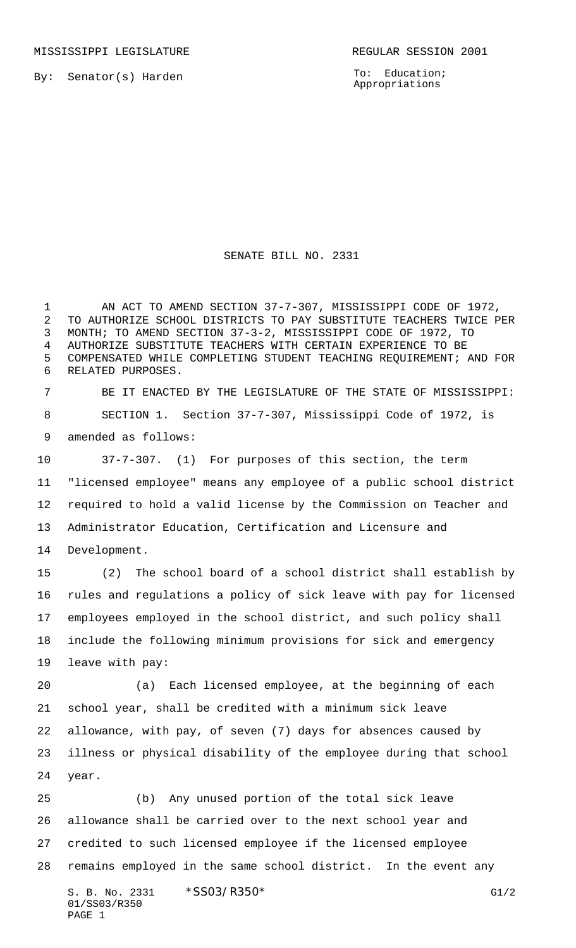By: Senator(s) Harden

To: Education; Appropriations

SENATE BILL NO. 2331

1 AN ACT TO AMEND SECTION 37-7-307, MISSISSIPPI CODE OF 1972, TO AUTHORIZE SCHOOL DISTRICTS TO PAY SUBSTITUTE TEACHERS TWICE PER MONTH; TO AMEND SECTION 37-3-2, MISSISSIPPI CODE OF 1972, TO AUTHORIZE SUBSTITUTE TEACHERS WITH CERTAIN EXPERIENCE TO BE COMPENSATED WHILE COMPLETING STUDENT TEACHING REQUIREMENT; AND FOR RELATED PURPOSES.

 BE IT ENACTED BY THE LEGISLATURE OF THE STATE OF MISSISSIPPI: SECTION 1. Section 37-7-307, Mississippi Code of 1972, is amended as follows:

 37-7-307. (1) For purposes of this section, the term "licensed employee" means any employee of a public school district required to hold a valid license by the Commission on Teacher and Administrator Education, Certification and Licensure and

Development.

 (2) The school board of a school district shall establish by rules and regulations a policy of sick leave with pay for licensed employees employed in the school district, and such policy shall include the following minimum provisions for sick and emergency leave with pay:

 (a) Each licensed employee, at the beginning of each school year, shall be credited with a minimum sick leave allowance, with pay, of seven (7) days for absences caused by illness or physical disability of the employee during that school year.

 (b) Any unused portion of the total sick leave allowance shall be carried over to the next school year and credited to such licensed employee if the licensed employee remains employed in the same school district. In the event any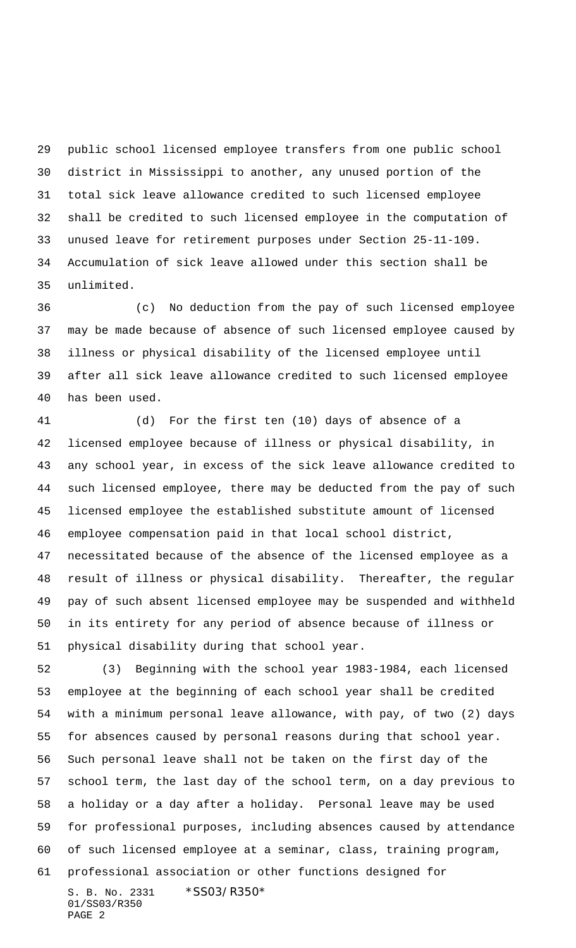public school licensed employee transfers from one public school district in Mississippi to another, any unused portion of the total sick leave allowance credited to such licensed employee shall be credited to such licensed employee in the computation of unused leave for retirement purposes under Section 25-11-109. Accumulation of sick leave allowed under this section shall be unlimited.

 (c) No deduction from the pay of such licensed employee may be made because of absence of such licensed employee caused by illness or physical disability of the licensed employee until after all sick leave allowance credited to such licensed employee has been used.

 (d) For the first ten (10) days of absence of a licensed employee because of illness or physical disability, in any school year, in excess of the sick leave allowance credited to such licensed employee, there may be deducted from the pay of such licensed employee the established substitute amount of licensed employee compensation paid in that local school district, necessitated because of the absence of the licensed employee as a result of illness or physical disability. Thereafter, the regular pay of such absent licensed employee may be suspended and withheld in its entirety for any period of absence because of illness or physical disability during that school year.

S. B. No. 2331 \*SS03/R350\* (3) Beginning with the school year 1983-1984, each licensed employee at the beginning of each school year shall be credited with a minimum personal leave allowance, with pay, of two (2) days for absences caused by personal reasons during that school year. Such personal leave shall not be taken on the first day of the school term, the last day of the school term, on a day previous to a holiday or a day after a holiday. Personal leave may be used for professional purposes, including absences caused by attendance of such licensed employee at a seminar, class, training program, professional association or other functions designed for

01/SS03/R350 PAGE 2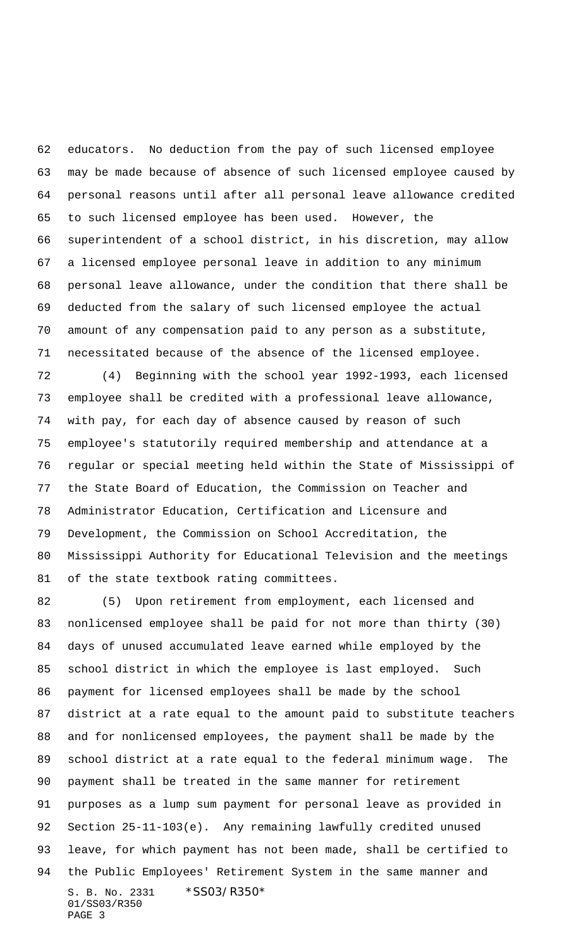educators. No deduction from the pay of such licensed employee may be made because of absence of such licensed employee caused by personal reasons until after all personal leave allowance credited to such licensed employee has been used. However, the superintendent of a school district, in his discretion, may allow a licensed employee personal leave in addition to any minimum personal leave allowance, under the condition that there shall be deducted from the salary of such licensed employee the actual amount of any compensation paid to any person as a substitute, necessitated because of the absence of the licensed employee.

 (4) Beginning with the school year 1992-1993, each licensed employee shall be credited with a professional leave allowance, with pay, for each day of absence caused by reason of such employee's statutorily required membership and attendance at a regular or special meeting held within the State of Mississippi of the State Board of Education, the Commission on Teacher and Administrator Education, Certification and Licensure and Development, the Commission on School Accreditation, the Mississippi Authority for Educational Television and the meetings 81 of the state textbook rating committees.

S. B. No. 2331 \*SS03/R350\* 01/SS03/R350 PAGE 3 (5) Upon retirement from employment, each licensed and nonlicensed employee shall be paid for not more than thirty (30) days of unused accumulated leave earned while employed by the school district in which the employee is last employed. Such payment for licensed employees shall be made by the school district at a rate equal to the amount paid to substitute teachers and for nonlicensed employees, the payment shall be made by the school district at a rate equal to the federal minimum wage. The payment shall be treated in the same manner for retirement purposes as a lump sum payment for personal leave as provided in Section 25-11-103(e). Any remaining lawfully credited unused leave, for which payment has not been made, shall be certified to the Public Employees' Retirement System in the same manner and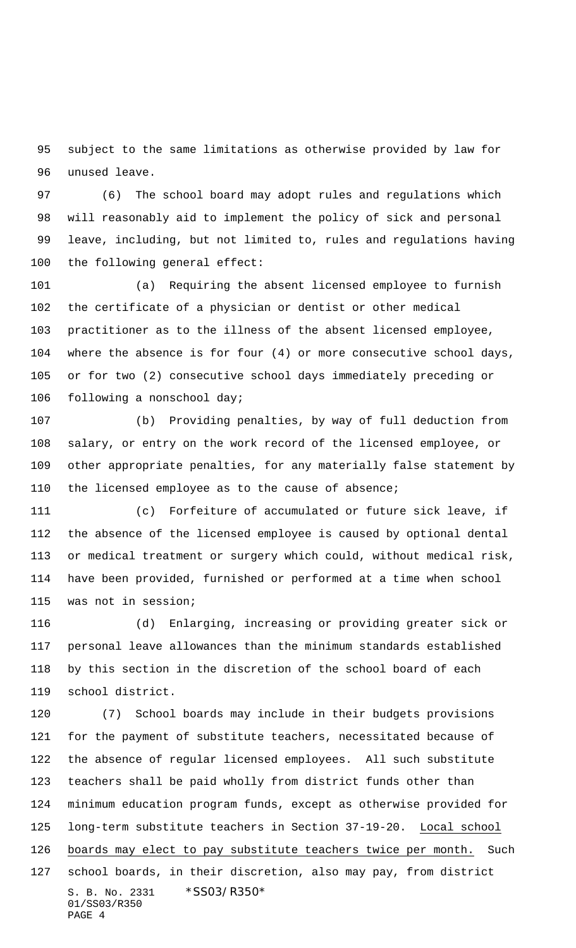subject to the same limitations as otherwise provided by law for unused leave.

 (6) The school board may adopt rules and regulations which will reasonably aid to implement the policy of sick and personal leave, including, but not limited to, rules and regulations having the following general effect:

 (a) Requiring the absent licensed employee to furnish the certificate of a physician or dentist or other medical practitioner as to the illness of the absent licensed employee, where the absence is for four (4) or more consecutive school days, or for two (2) consecutive school days immediately preceding or following a nonschool day;

 (b) Providing penalties, by way of full deduction from salary, or entry on the work record of the licensed employee, or other appropriate penalties, for any materially false statement by the licensed employee as to the cause of absence;

 (c) Forfeiture of accumulated or future sick leave, if the absence of the licensed employee is caused by optional dental or medical treatment or surgery which could, without medical risk, have been provided, furnished or performed at a time when school was not in session;

 (d) Enlarging, increasing or providing greater sick or personal leave allowances than the minimum standards established by this section in the discretion of the school board of each school district.

S. B. No. 2331 \* SS03/R350\* 01/SS03/R350 PAGE 4 (7) School boards may include in their budgets provisions for the payment of substitute teachers, necessitated because of the absence of regular licensed employees. All such substitute teachers shall be paid wholly from district funds other than minimum education program funds, except as otherwise provided for long-term substitute teachers in Section 37-19-20. Local school 126 boards may elect to pay substitute teachers twice per month. Such school boards, in their discretion, also may pay, from district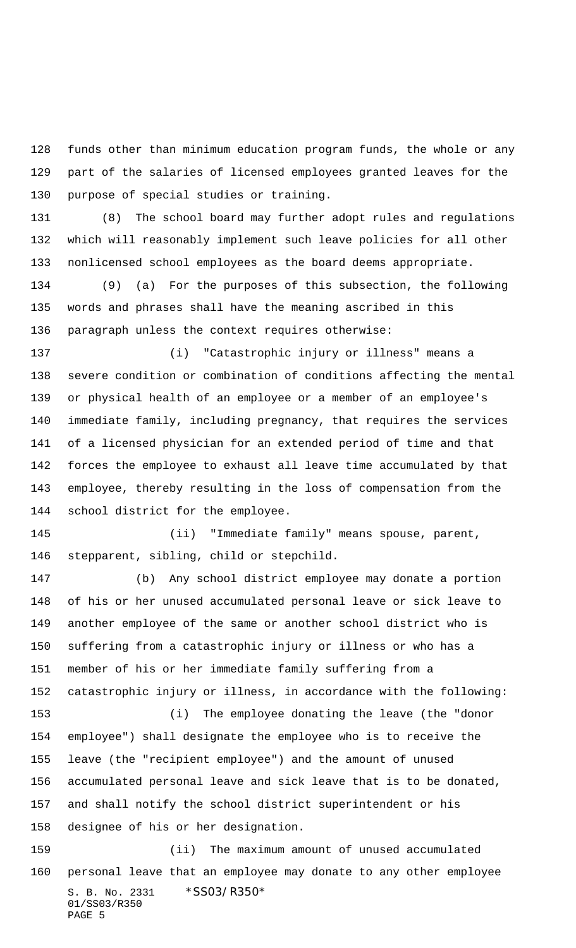funds other than minimum education program funds, the whole or any part of the salaries of licensed employees granted leaves for the purpose of special studies or training.

 (8) The school board may further adopt rules and regulations which will reasonably implement such leave policies for all other nonlicensed school employees as the board deems appropriate.

 (9) (a) For the purposes of this subsection, the following words and phrases shall have the meaning ascribed in this paragraph unless the context requires otherwise:

 (i) "Catastrophic injury or illness" means a severe condition or combination of conditions affecting the mental or physical health of an employee or a member of an employee's immediate family, including pregnancy, that requires the services of a licensed physician for an extended period of time and that forces the employee to exhaust all leave time accumulated by that employee, thereby resulting in the loss of compensation from the school district for the employee.

 (ii) "Immediate family" means spouse, parent, stepparent, sibling, child or stepchild.

 (b) Any school district employee may donate a portion of his or her unused accumulated personal leave or sick leave to another employee of the same or another school district who is suffering from a catastrophic injury or illness or who has a member of his or her immediate family suffering from a catastrophic injury or illness, in accordance with the following: (i) The employee donating the leave (the "donor employee") shall designate the employee who is to receive the leave (the "recipient employee") and the amount of unused accumulated personal leave and sick leave that is to be donated, and shall notify the school district superintendent or his designee of his or her designation. (ii) The maximum amount of unused accumulated personal leave that an employee may donate to any other employee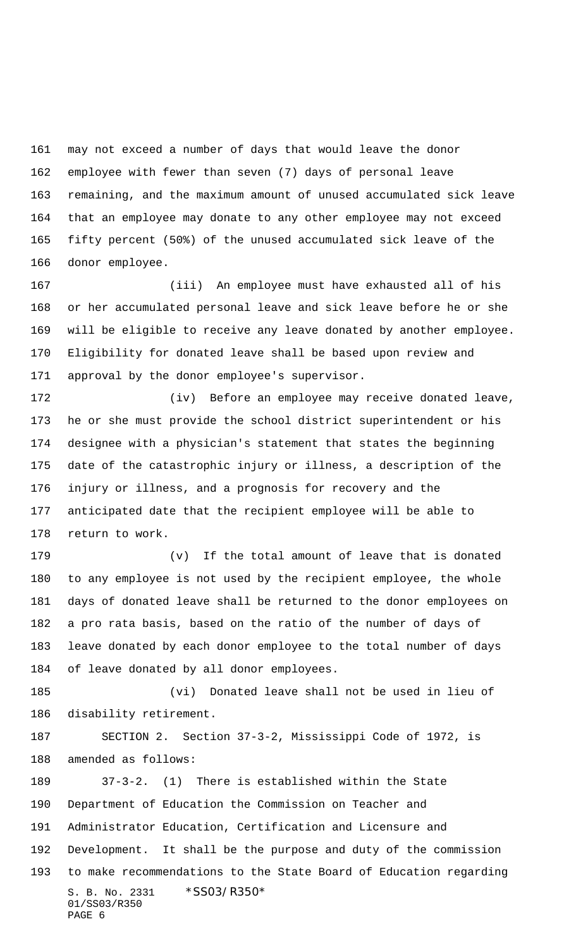may not exceed a number of days that would leave the donor employee with fewer than seven (7) days of personal leave remaining, and the maximum amount of unused accumulated sick leave that an employee may donate to any other employee may not exceed fifty percent (50%) of the unused accumulated sick leave of the donor employee.

 (iii) An employee must have exhausted all of his or her accumulated personal leave and sick leave before he or she will be eligible to receive any leave donated by another employee. Eligibility for donated leave shall be based upon review and approval by the donor employee's supervisor.

 (iv) Before an employee may receive donated leave, he or she must provide the school district superintendent or his designee with a physician's statement that states the beginning date of the catastrophic injury or illness, a description of the injury or illness, and a prognosis for recovery and the anticipated date that the recipient employee will be able to return to work.

 (v) If the total amount of leave that is donated to any employee is not used by the recipient employee, the whole days of donated leave shall be returned to the donor employees on a pro rata basis, based on the ratio of the number of days of leave donated by each donor employee to the total number of days of leave donated by all donor employees.

 (vi) Donated leave shall not be used in lieu of disability retirement.

 SECTION 2. Section 37-3-2, Mississippi Code of 1972, is amended as follows:

S. B. No. 2331 \* SS03/R350\* 01/SS03/R350 PAGE 6 37-3-2. (1) There is established within the State Department of Education the Commission on Teacher and Administrator Education, Certification and Licensure and Development. It shall be the purpose and duty of the commission to make recommendations to the State Board of Education regarding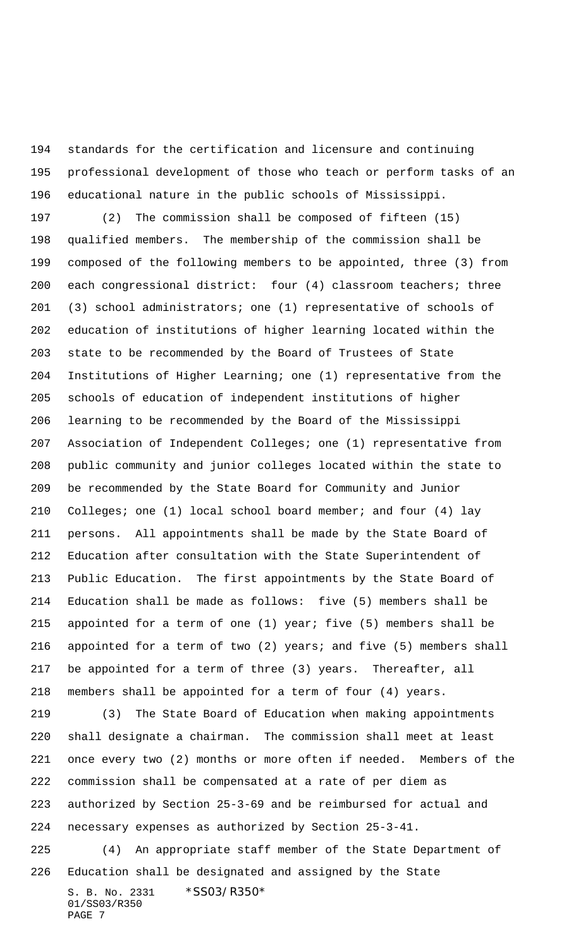standards for the certification and licensure and continuing professional development of those who teach or perform tasks of an educational nature in the public schools of Mississippi.

 (2) The commission shall be composed of fifteen (15) qualified members. The membership of the commission shall be composed of the following members to be appointed, three (3) from each congressional district: four (4) classroom teachers; three (3) school administrators; one (1) representative of schools of education of institutions of higher learning located within the state to be recommended by the Board of Trustees of State Institutions of Higher Learning; one (1) representative from the schools of education of independent institutions of higher learning to be recommended by the Board of the Mississippi Association of Independent Colleges; one (1) representative from public community and junior colleges located within the state to be recommended by the State Board for Community and Junior Colleges; one (1) local school board member; and four (4) lay persons. All appointments shall be made by the State Board of Education after consultation with the State Superintendent of Public Education. The first appointments by the State Board of Education shall be made as follows: five (5) members shall be appointed for a term of one (1) year; five (5) members shall be appointed for a term of two (2) years; and five (5) members shall be appointed for a term of three (3) years. Thereafter, all members shall be appointed for a term of four (4) years.

S. B. No. 2331 \* SS03/R350\* 01/SS03/R350 (3) The State Board of Education when making appointments shall designate a chairman. The commission shall meet at least once every two (2) months or more often if needed. Members of the commission shall be compensated at a rate of per diem as authorized by Section 25-3-69 and be reimbursed for actual and necessary expenses as authorized by Section 25-3-41. (4) An appropriate staff member of the State Department of Education shall be designated and assigned by the State

PAGE 7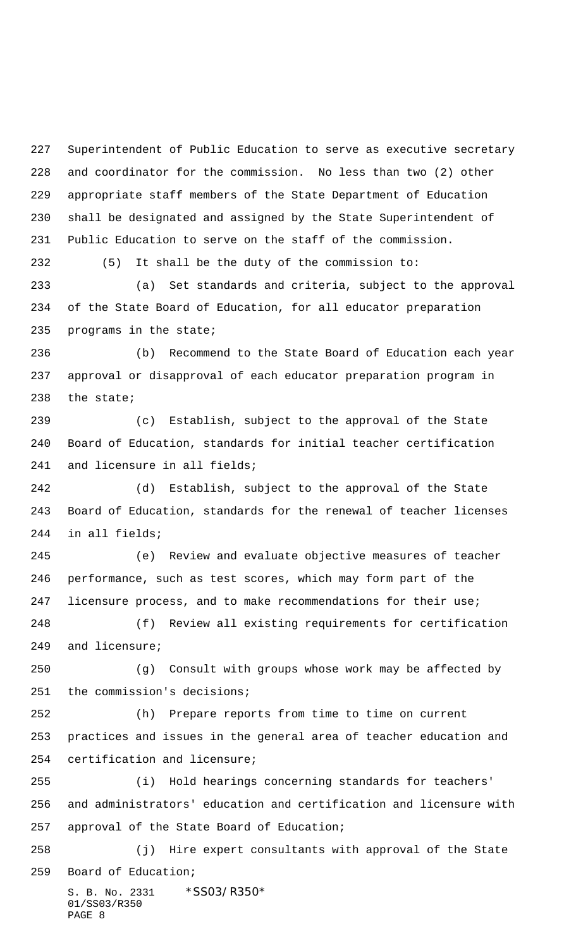Superintendent of Public Education to serve as executive secretary and coordinator for the commission. No less than two (2) other appropriate staff members of the State Department of Education shall be designated and assigned by the State Superintendent of Public Education to serve on the staff of the commission.

 (5) It shall be the duty of the commission to: (a) Set standards and criteria, subject to the approval of the State Board of Education, for all educator preparation programs in the state;

 (b) Recommend to the State Board of Education each year approval or disapproval of each educator preparation program in the state;

 (c) Establish, subject to the approval of the State Board of Education, standards for initial teacher certification and licensure in all fields;

 (d) Establish, subject to the approval of the State Board of Education, standards for the renewal of teacher licenses in all fields;

 (e) Review and evaluate objective measures of teacher performance, such as test scores, which may form part of the licensure process, and to make recommendations for their use;

 (f) Review all existing requirements for certification and licensure;

 (g) Consult with groups whose work may be affected by the commission's decisions;

 (h) Prepare reports from time to time on current practices and issues in the general area of teacher education and certification and licensure;

 (i) Hold hearings concerning standards for teachers' and administrators' education and certification and licensure with approval of the State Board of Education;

 (j) Hire expert consultants with approval of the State Board of Education;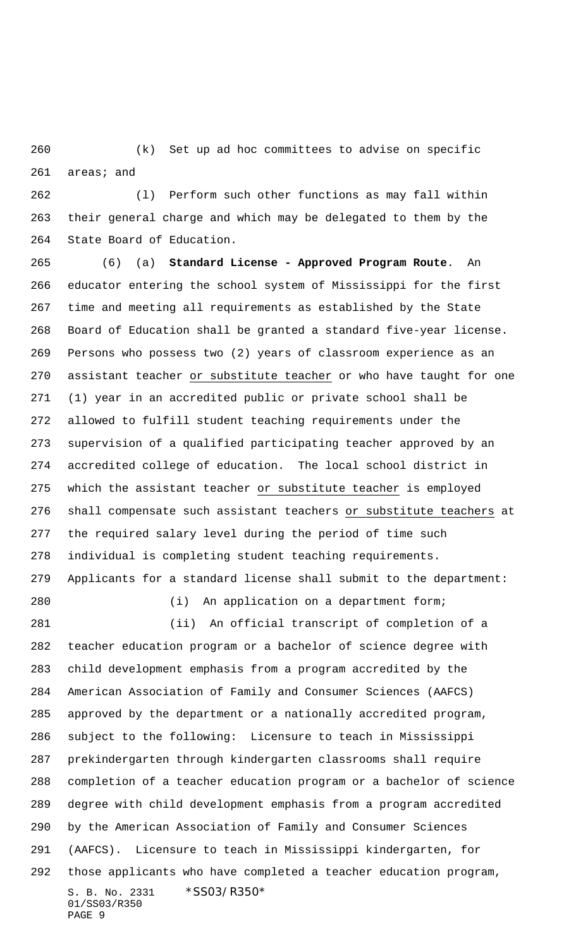(k) Set up ad hoc committees to advise on specific areas; and

 (l) Perform such other functions as may fall within their general charge and which may be delegated to them by the State Board of Education.

 (6) (a) **Standard License - Approved Program Route**. An educator entering the school system of Mississippi for the first time and meeting all requirements as established by the State Board of Education shall be granted a standard five-year license. Persons who possess two (2) years of classroom experience as an 270 assistant teacher or substitute teacher or who have taught for one (1) year in an accredited public or private school shall be allowed to fulfill student teaching requirements under the supervision of a qualified participating teacher approved by an accredited college of education. The local school district in which the assistant teacher or substitute teacher is employed shall compensate such assistant teachers or substitute teachers at the required salary level during the period of time such individual is completing student teaching requirements. Applicants for a standard license shall submit to the department:

(i) An application on a department form;

S. B. No. 2331 \*SS03/R350\* 01/SS03/R350 PAGE 9 (ii) An official transcript of completion of a teacher education program or a bachelor of science degree with child development emphasis from a program accredited by the American Association of Family and Consumer Sciences (AAFCS) approved by the department or a nationally accredited program, subject to the following: Licensure to teach in Mississippi prekindergarten through kindergarten classrooms shall require completion of a teacher education program or a bachelor of science degree with child development emphasis from a program accredited by the American Association of Family and Consumer Sciences (AAFCS). Licensure to teach in Mississippi kindergarten, for those applicants who have completed a teacher education program,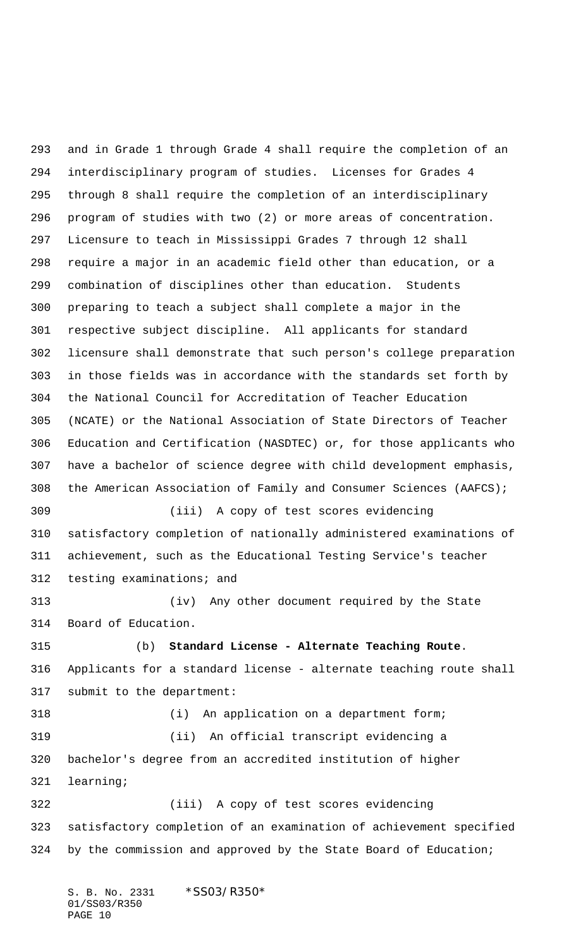and in Grade 1 through Grade 4 shall require the completion of an interdisciplinary program of studies. Licenses for Grades 4 through 8 shall require the completion of an interdisciplinary program of studies with two (2) or more areas of concentration. Licensure to teach in Mississippi Grades 7 through 12 shall require a major in an academic field other than education, or a combination of disciplines other than education. Students preparing to teach a subject shall complete a major in the respective subject discipline. All applicants for standard licensure shall demonstrate that such person's college preparation in those fields was in accordance with the standards set forth by the National Council for Accreditation of Teacher Education (NCATE) or the National Association of State Directors of Teacher Education and Certification (NASDTEC) or, for those applicants who have a bachelor of science degree with child development emphasis, the American Association of Family and Consumer Sciences (AAFCS); (iii) A copy of test scores evidencing satisfactory completion of nationally administered examinations of achievement, such as the Educational Testing Service's teacher testing examinations; and (iv) Any other document required by the State Board of Education. (b) **Standard License - Alternate Teaching Route**. Applicants for a standard license - alternate teaching route shall submit to the department: (i) An application on a department form; (ii) An official transcript evidencing a bachelor's degree from an accredited institution of higher learning; (iii) A copy of test scores evidencing satisfactory completion of an examination of achievement specified by the commission and approved by the State Board of Education;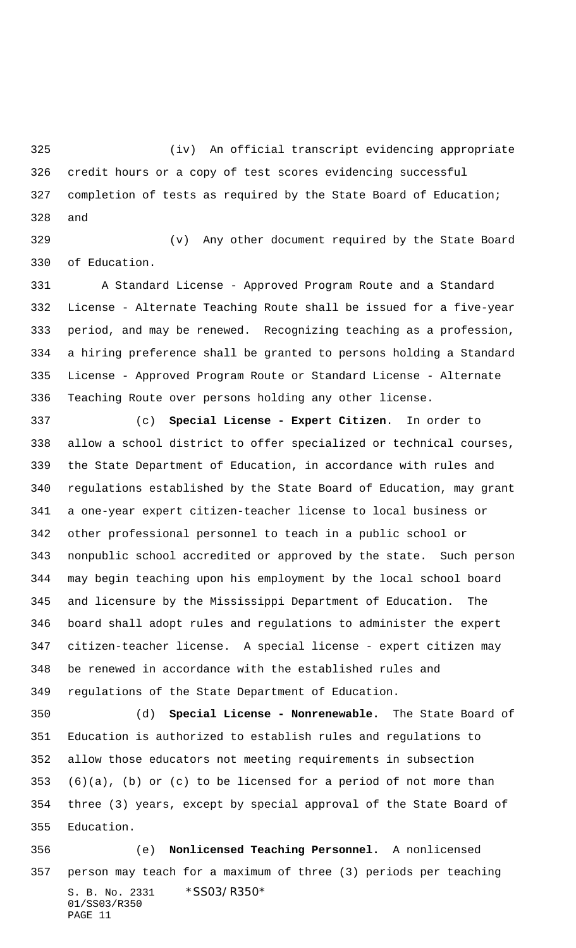(iv) An official transcript evidencing appropriate credit hours or a copy of test scores evidencing successful completion of tests as required by the State Board of Education; and

 (v) Any other document required by the State Board of Education.

 A Standard License - Approved Program Route and a Standard License - Alternate Teaching Route shall be issued for a five-year period, and may be renewed. Recognizing teaching as a profession, a hiring preference shall be granted to persons holding a Standard License - Approved Program Route or Standard License - Alternate Teaching Route over persons holding any other license.

 (c) **Special License - Expert Citizen**. In order to allow a school district to offer specialized or technical courses, the State Department of Education, in accordance with rules and regulations established by the State Board of Education, may grant a one-year expert citizen-teacher license to local business or other professional personnel to teach in a public school or nonpublic school accredited or approved by the state. Such person may begin teaching upon his employment by the local school board and licensure by the Mississippi Department of Education. The board shall adopt rules and regulations to administer the expert citizen-teacher license. A special license - expert citizen may be renewed in accordance with the established rules and regulations of the State Department of Education.

 (d) **Special License - Nonrenewable.** The State Board of Education is authorized to establish rules and regulations to allow those educators not meeting requirements in subsection (6)(a), (b) or (c) to be licensed for a period of not more than three (3) years, except by special approval of the State Board of Education.

S. B. No. 2331 \* SS03/R350\* 01/SS03/R350 PAGE 11 (e) **Nonlicensed Teaching Personnel.** A nonlicensed person may teach for a maximum of three (3) periods per teaching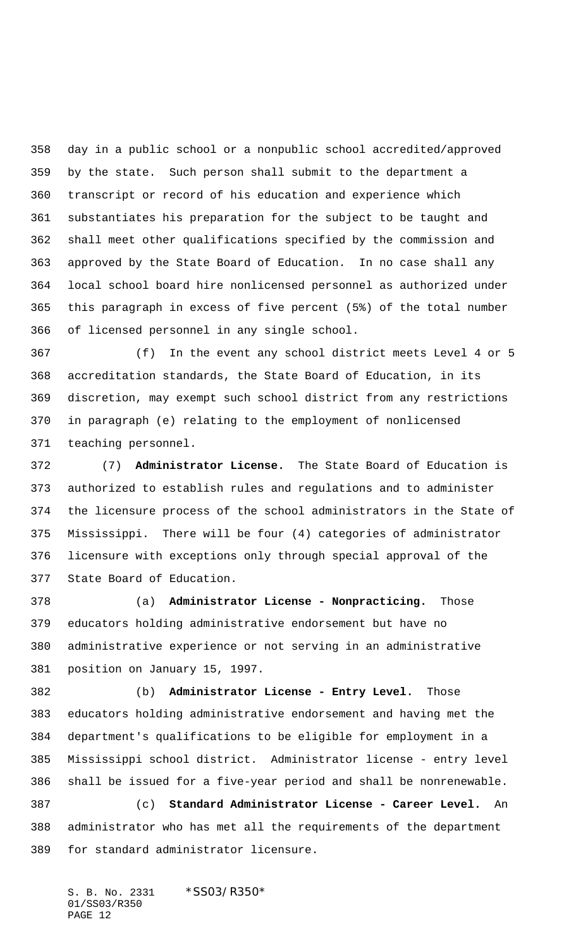day in a public school or a nonpublic school accredited/approved by the state. Such person shall submit to the department a transcript or record of his education and experience which substantiates his preparation for the subject to be taught and shall meet other qualifications specified by the commission and approved by the State Board of Education. In no case shall any local school board hire nonlicensed personnel as authorized under this paragraph in excess of five percent (5%) of the total number of licensed personnel in any single school.

 (f) In the event any school district meets Level 4 or 5 accreditation standards, the State Board of Education, in its discretion, may exempt such school district from any restrictions in paragraph (e) relating to the employment of nonlicensed teaching personnel.

 (7) **Administrator License.** The State Board of Education is authorized to establish rules and regulations and to administer the licensure process of the school administrators in the State of Mississippi. There will be four (4) categories of administrator licensure with exceptions only through special approval of the State Board of Education.

 (a) **Administrator License - Nonpracticing.** Those educators holding administrative endorsement but have no administrative experience or not serving in an administrative position on January 15, 1997.

 (b) **Administrator License - Entry Level.** Those educators holding administrative endorsement and having met the department's qualifications to be eligible for employment in a Mississippi school district. Administrator license - entry level shall be issued for a five-year period and shall be nonrenewable.

 (c) **Standard Administrator License - Career Level.** An administrator who has met all the requirements of the department for standard administrator licensure.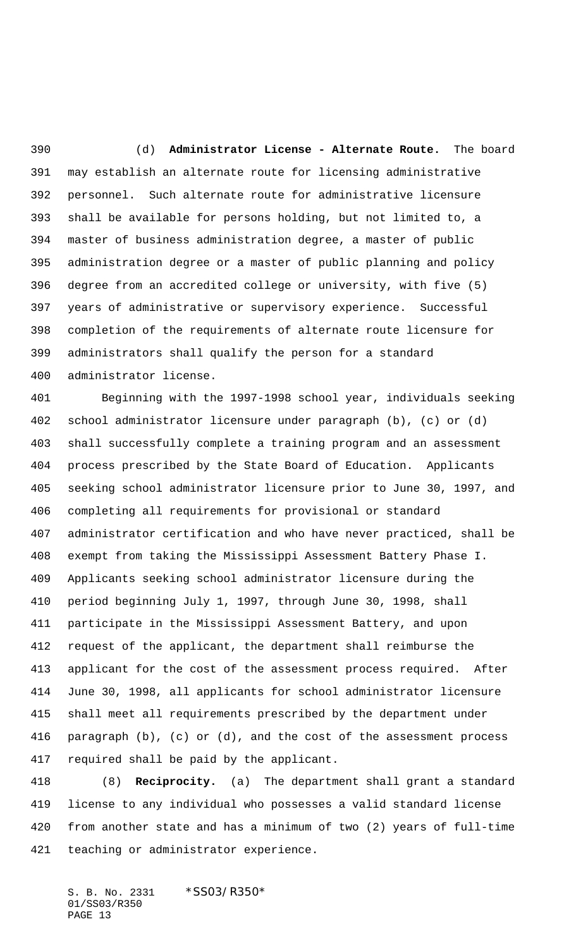(d) **Administrator License - Alternate Route.** The board may establish an alternate route for licensing administrative personnel. Such alternate route for administrative licensure shall be available for persons holding, but not limited to, a master of business administration degree, a master of public administration degree or a master of public planning and policy degree from an accredited college or university, with five (5) years of administrative or supervisory experience. Successful completion of the requirements of alternate route licensure for administrators shall qualify the person for a standard administrator license.

 Beginning with the 1997-1998 school year, individuals seeking school administrator licensure under paragraph (b), (c) or (d) shall successfully complete a training program and an assessment process prescribed by the State Board of Education. Applicants seeking school administrator licensure prior to June 30, 1997, and completing all requirements for provisional or standard administrator certification and who have never practiced, shall be exempt from taking the Mississippi Assessment Battery Phase I. Applicants seeking school administrator licensure during the period beginning July 1, 1997, through June 30, 1998, shall participate in the Mississippi Assessment Battery, and upon request of the applicant, the department shall reimburse the applicant for the cost of the assessment process required. After June 30, 1998, all applicants for school administrator licensure shall meet all requirements prescribed by the department under paragraph (b), (c) or (d), and the cost of the assessment process required shall be paid by the applicant.

 (8) **Reciprocity.** (a) The department shall grant a standard license to any individual who possesses a valid standard license from another state and has a minimum of two (2) years of full-time teaching or administrator experience.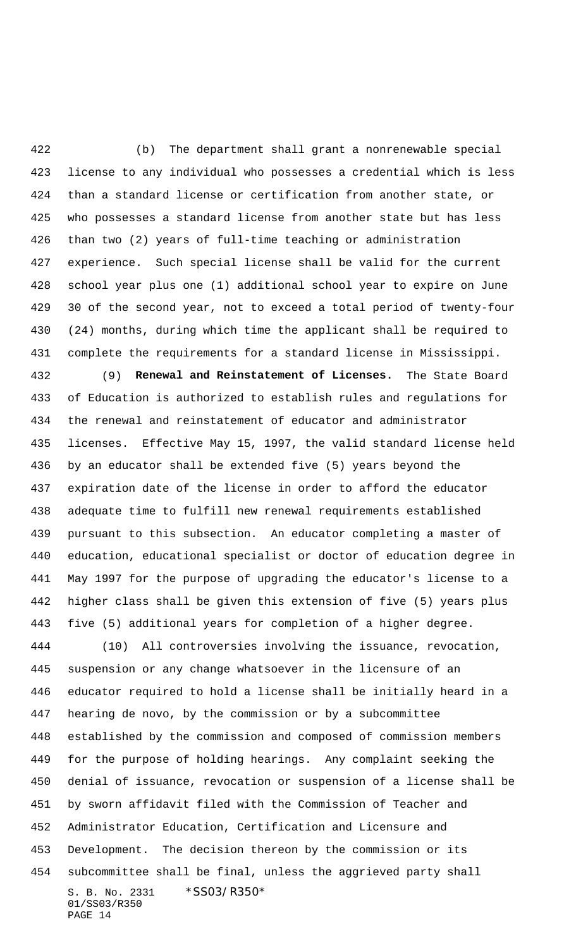(b) The department shall grant a nonrenewable special license to any individual who possesses a credential which is less than a standard license or certification from another state, or who possesses a standard license from another state but has less than two (2) years of full-time teaching or administration experience. Such special license shall be valid for the current school year plus one (1) additional school year to expire on June 30 of the second year, not to exceed a total period of twenty-four (24) months, during which time the applicant shall be required to complete the requirements for a standard license in Mississippi.

 (9) **Renewal and Reinstatement of Licenses.** The State Board of Education is authorized to establish rules and regulations for the renewal and reinstatement of educator and administrator licenses. Effective May 15, 1997, the valid standard license held by an educator shall be extended five (5) years beyond the expiration date of the license in order to afford the educator adequate time to fulfill new renewal requirements established pursuant to this subsection. An educator completing a master of education, educational specialist or doctor of education degree in May 1997 for the purpose of upgrading the educator's license to a higher class shall be given this extension of five (5) years plus five (5) additional years for completion of a higher degree.

S. B. No. 2331 \*SS03/R350\* 01/SS03/R350 PAGE 14 (10) All controversies involving the issuance, revocation, suspension or any change whatsoever in the licensure of an educator required to hold a license shall be initially heard in a hearing de novo, by the commission or by a subcommittee established by the commission and composed of commission members for the purpose of holding hearings. Any complaint seeking the denial of issuance, revocation or suspension of a license shall be by sworn affidavit filed with the Commission of Teacher and Administrator Education, Certification and Licensure and Development. The decision thereon by the commission or its subcommittee shall be final, unless the aggrieved party shall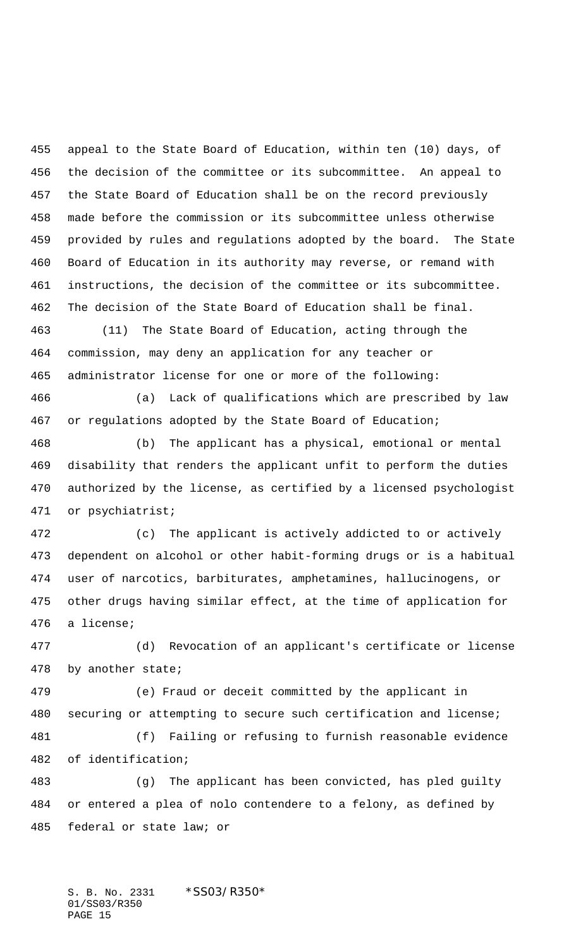appeal to the State Board of Education, within ten (10) days, of the decision of the committee or its subcommittee. An appeal to the State Board of Education shall be on the record previously made before the commission or its subcommittee unless otherwise provided by rules and regulations adopted by the board. The State Board of Education in its authority may reverse, or remand with instructions, the decision of the committee or its subcommittee. The decision of the State Board of Education shall be final.

 (11) The State Board of Education, acting through the commission, may deny an application for any teacher or administrator license for one or more of the following:

 (a) Lack of qualifications which are prescribed by law or regulations adopted by the State Board of Education;

 (b) The applicant has a physical, emotional or mental disability that renders the applicant unfit to perform the duties authorized by the license, as certified by a licensed psychologist or psychiatrist;

 (c) The applicant is actively addicted to or actively dependent on alcohol or other habit-forming drugs or is a habitual user of narcotics, barbiturates, amphetamines, hallucinogens, or other drugs having similar effect, at the time of application for a license;

 (d) Revocation of an applicant's certificate or license by another state;

 (e) Fraud or deceit committed by the applicant in securing or attempting to secure such certification and license; (f) Failing or refusing to furnish reasonable evidence

of identification;

 (g) The applicant has been convicted, has pled guilty or entered a plea of nolo contendere to a felony, as defined by federal or state law; or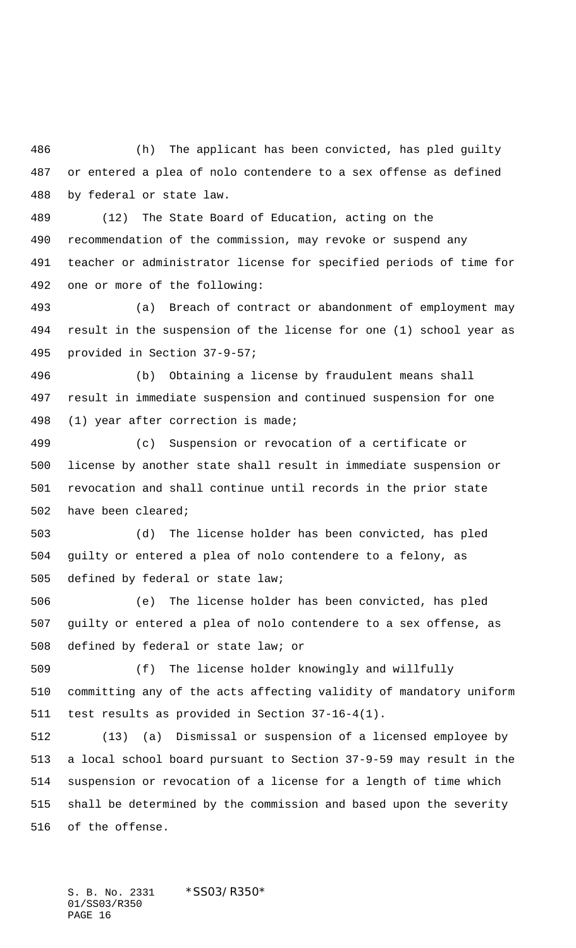(h) The applicant has been convicted, has pled guilty or entered a plea of nolo contendere to a sex offense as defined by federal or state law.

 (12) The State Board of Education, acting on the recommendation of the commission, may revoke or suspend any teacher or administrator license for specified periods of time for one or more of the following:

 (a) Breach of contract or abandonment of employment may result in the suspension of the license for one (1) school year as provided in Section 37-9-57;

 (b) Obtaining a license by fraudulent means shall result in immediate suspension and continued suspension for one (1) year after correction is made;

 (c) Suspension or revocation of a certificate or license by another state shall result in immediate suspension or revocation and shall continue until records in the prior state have been cleared;

 (d) The license holder has been convicted, has pled guilty or entered a plea of nolo contendere to a felony, as defined by federal or state law;

 (e) The license holder has been convicted, has pled guilty or entered a plea of nolo contendere to a sex offense, as defined by federal or state law; or

 (f) The license holder knowingly and willfully committing any of the acts affecting validity of mandatory uniform test results as provided in Section 37-16-4(1).

 (13) (a) Dismissal or suspension of a licensed employee by a local school board pursuant to Section 37-9-59 may result in the suspension or revocation of a license for a length of time which shall be determined by the commission and based upon the severity of the offense.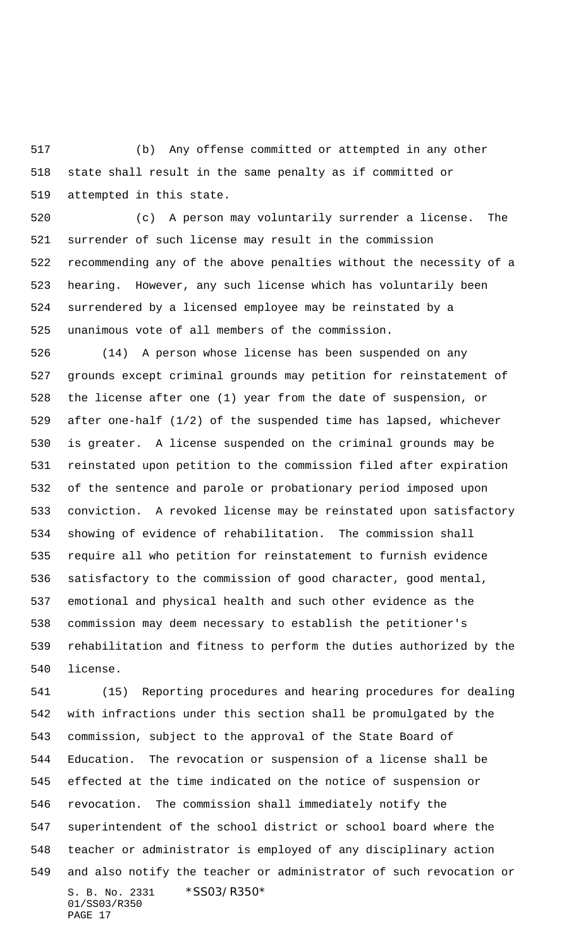(b) Any offense committed or attempted in any other state shall result in the same penalty as if committed or attempted in this state.

 (c) A person may voluntarily surrender a license. The surrender of such license may result in the commission recommending any of the above penalties without the necessity of a hearing. However, any such license which has voluntarily been surrendered by a licensed employee may be reinstated by a unanimous vote of all members of the commission.

 (14) A person whose license has been suspended on any grounds except criminal grounds may petition for reinstatement of the license after one (1) year from the date of suspension, or after one-half (1/2) of the suspended time has lapsed, whichever is greater. A license suspended on the criminal grounds may be reinstated upon petition to the commission filed after expiration of the sentence and parole or probationary period imposed upon conviction. A revoked license may be reinstated upon satisfactory showing of evidence of rehabilitation. The commission shall require all who petition for reinstatement to furnish evidence satisfactory to the commission of good character, good mental, emotional and physical health and such other evidence as the commission may deem necessary to establish the petitioner's rehabilitation and fitness to perform the duties authorized by the license.

S. B. No. 2331 \*SS03/R350\* 01/SS03/R350 PAGE 17 (15) Reporting procedures and hearing procedures for dealing with infractions under this section shall be promulgated by the commission, subject to the approval of the State Board of Education. The revocation or suspension of a license shall be effected at the time indicated on the notice of suspension or revocation. The commission shall immediately notify the superintendent of the school district or school board where the teacher or administrator is employed of any disciplinary action and also notify the teacher or administrator of such revocation or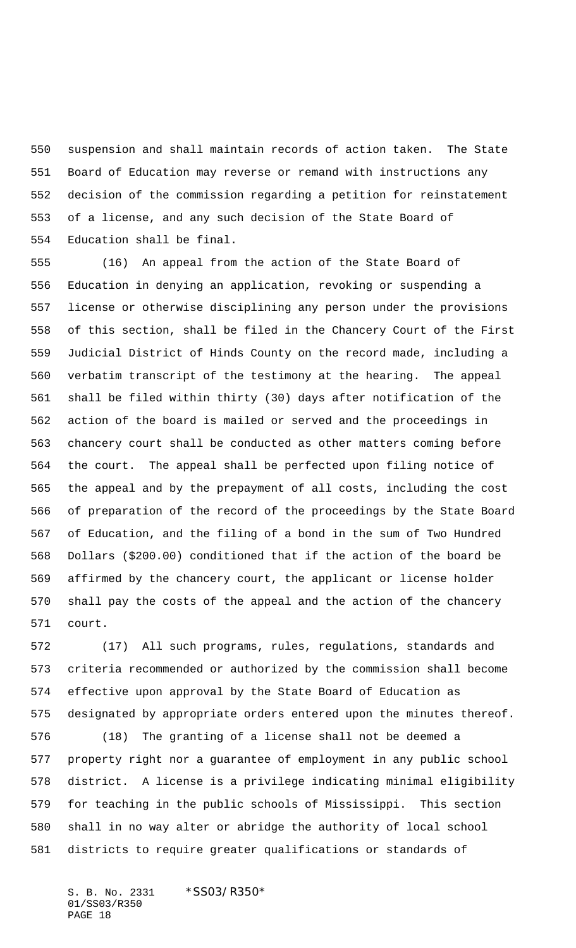suspension and shall maintain records of action taken. The State Board of Education may reverse or remand with instructions any decision of the commission regarding a petition for reinstatement of a license, and any such decision of the State Board of Education shall be final.

 (16) An appeal from the action of the State Board of Education in denying an application, revoking or suspending a license or otherwise disciplining any person under the provisions of this section, shall be filed in the Chancery Court of the First Judicial District of Hinds County on the record made, including a verbatim transcript of the testimony at the hearing. The appeal shall be filed within thirty (30) days after notification of the action of the board is mailed or served and the proceedings in chancery court shall be conducted as other matters coming before the court. The appeal shall be perfected upon filing notice of the appeal and by the prepayment of all costs, including the cost of preparation of the record of the proceedings by the State Board of Education, and the filing of a bond in the sum of Two Hundred Dollars (\$200.00) conditioned that if the action of the board be affirmed by the chancery court, the applicant or license holder shall pay the costs of the appeal and the action of the chancery court.

 (17) All such programs, rules, regulations, standards and criteria recommended or authorized by the commission shall become effective upon approval by the State Board of Education as designated by appropriate orders entered upon the minutes thereof.

 (18) The granting of a license shall not be deemed a property right nor a guarantee of employment in any public school district. A license is a privilege indicating minimal eligibility for teaching in the public schools of Mississippi. This section shall in no way alter or abridge the authority of local school districts to require greater qualifications or standards of